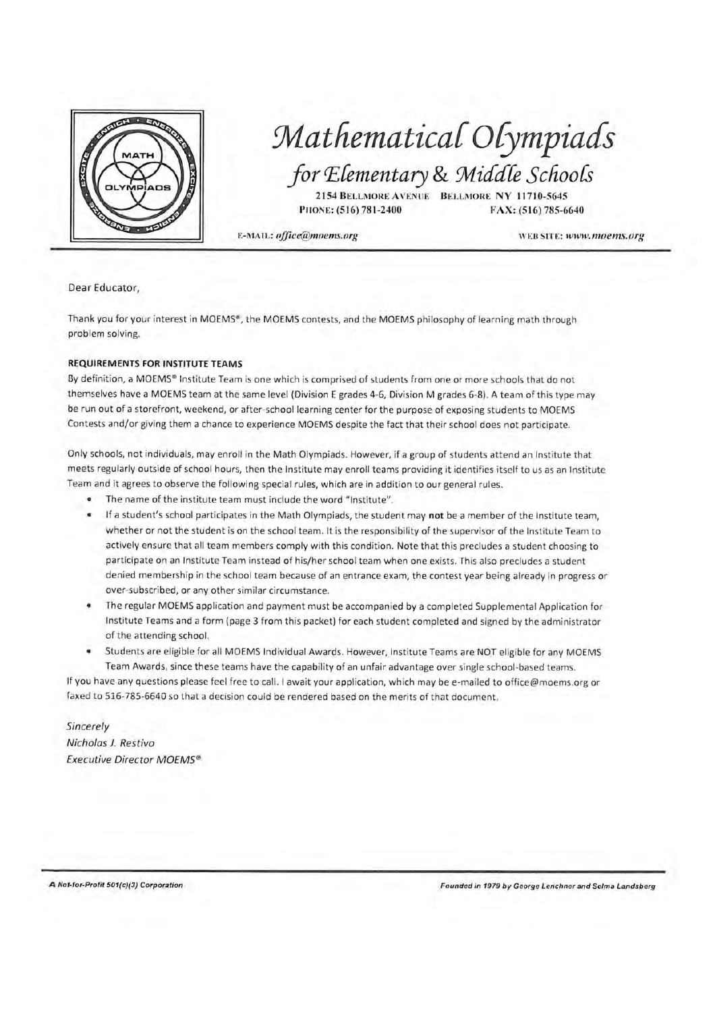

### Mathematical Olympiads for Elementary & Middle Schools

2154 BELLMORE AVENUE BELLMORE NY 11710-5645 PHONE: (516) 781-2400 FAX: (516) 785-6640

E-MAIL: office@moems.org

WEB SITE: www.moems.org

Dear Educator,

Thank you for your interest in MOEMS®, the MOEMS contests, and the MOEMS philosophy of learning math through problem solving.

#### **REQUIREMENTS FOR INSTITUTE TEAMS**

By definition, a MOEMS® Institute Team is one which is comprised of students from one or more schools that do not themselves have a MOEMS team at the same level (Division E grades 4-6, Division M grades 6-8). A team of this type may be run out of a storefront, weekend, or after-school learning center for the purpose of exposing students to MOEMS Contests and/or giving them a chance to experience MOEMS despite the fact that their school does not participate.

Only schools, not individuals, may enroll in the Math Olympiads. However, if a group of students attend an Institute that meets regularly outside of school hours, then the Institute may enroll teams providing it identifies itself to us as an Institute Team and it agrees to observe the following special rules, which are in addition to our general rules.

- . The name of the institute team must include the word "Institute".
- . If a student's school participates in the Math Olympiads, the student may not be a member of the Institute team, whether or not the student is on the school team. It is the responsibility of the supervisor of the Institute Team to actively ensure that all team members comply with this condition. Note that this precludes a student choosing to participate on an Institute Team instead of his/her school team when one exists. This also precludes a student denied membership in the school team because of an entrance exam, the contest year being already in progress or over-subscribed, or any other similar circumstance.
- The regular MOEMS application and payment must be accompanied by a completed Supplemental Application for Institute Teams and a form (page 3 from this packet) for each student completed and signed by the administrator of the attending school.
- Students are eligible for all MOEMS Individual Awards. However, Institute Teams are NOT eligible for any MOEMS Team Awards, since these teams have the capability of an unfair advantage over single school-based teams.

If you have any questions please feel free to call. I await your application, which may be e-mailed to office@moems.org or faxed to 516-785-6640 so that a decision could be rendered based on the merits of that document.

Sincerely Nicholas J. Restivo **Executive Director MOEMS®** 

A Not-for-Profit 501(c)(3) Corporation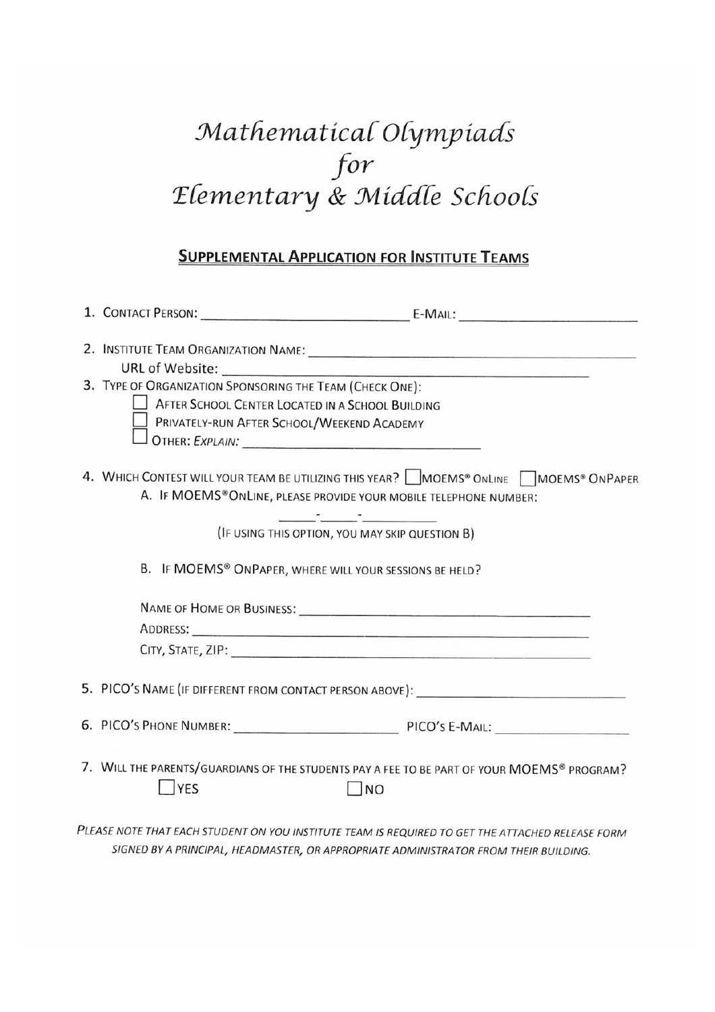# Mathematical Olympiads for<br>Elementary & Middle Schools

#### **SUPPLEMENTAL APPLICATION FOR INSTITUTE TEAMS**

| 3. TYPE OF ORGANIZATION SPONSORING THE TEAM (CHECK ONE):                                                                                                                                                                                                                                |  |  |  |  |  |
|-----------------------------------------------------------------------------------------------------------------------------------------------------------------------------------------------------------------------------------------------------------------------------------------|--|--|--|--|--|
| AFTER SCHOOL CENTER LOCATED IN A SCHOOL BUILDING                                                                                                                                                                                                                                        |  |  |  |  |  |
| PRIVATELY-RUN AFTER SCHOOL/WEEKEND ACADEMY                                                                                                                                                                                                                                              |  |  |  |  |  |
|                                                                                                                                                                                                                                                                                         |  |  |  |  |  |
| 4. WHICH CONTEST WILL YOUR TEAM BE UTILIZING THIS YEAR? MOEMS® ONLINE AMOEMS® ON PAPER<br>A. IF MOEMS®ONLINE, PLEASE PROVIDE YOUR MOBILE TELEPHONE NUMBER:                                                                                                                              |  |  |  |  |  |
| <u> Alexandria (Carlos Carlos Carlos Carlos Carlos Carlos Carlos Carlos Carlos Carlos Carlos Carlos Carlos Carlos Carlos Carlos Carlos Carlos Carlos Carlos Carlos Carlos Carlos Carlos Carlos Carlos Carlos Carlos Carlos Carlo</u><br>(IF USING THIS OPTION, YOU MAY SKIP QUESTION B) |  |  |  |  |  |
| B. IF MOEMS® ONPAPER, WHERE WILL YOUR SESSIONS BE HELD?                                                                                                                                                                                                                                 |  |  |  |  |  |
|                                                                                                                                                                                                                                                                                         |  |  |  |  |  |
|                                                                                                                                                                                                                                                                                         |  |  |  |  |  |
|                                                                                                                                                                                                                                                                                         |  |  |  |  |  |
|                                                                                                                                                                                                                                                                                         |  |  |  |  |  |
| 6. PICO'S PHONE NUMBER: PICO'S E-MAIL:                                                                                                                                                                                                                                                  |  |  |  |  |  |
| 7. WILL THE PARENTS/GUARDIANS OF THE STUDENTS PAY A FEE TO BE PART OF YOUR MOEMS® PROGRAM?<br><b>YES</b><br>$\Box$ NO                                                                                                                                                                   |  |  |  |  |  |
| PLEASE NOTE THAT EACH STUDENT ON YOU INSTITUTE TEAM IS REQUIRED TO GET THE ATTACHED RELEASE FORM                                                                                                                                                                                        |  |  |  |  |  |

SIGNED BY A PRINCIPAL, HEADMASTER, OR APPROPRIATE ADMINISTRATOR FROM THEIR BUILDING.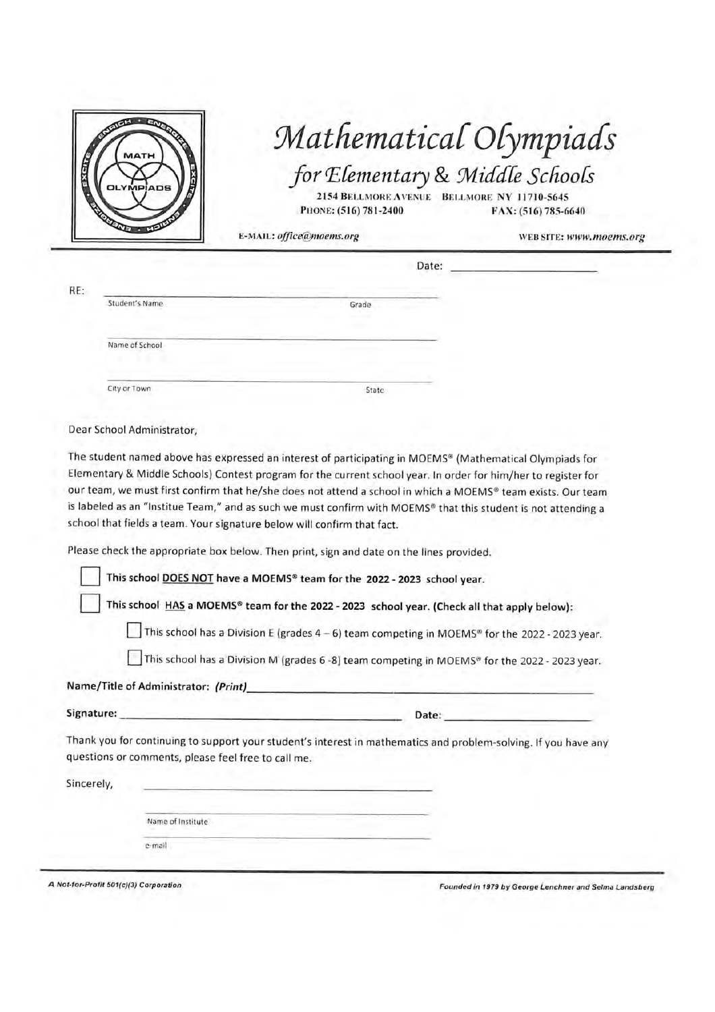

### Mathematical Olympiads for Elementary & Middle Schools

2154 BELLMORE AVENUE BELLMORE NY 11710-5645 PHONE: (516) 781-2400 FAX: (516) 785-6640

E-MAIL: office@moems.org

WEB SITE: www.moems.org

| Ş.                                                                                                                                                                                                                                                                                                                                                                                                                                                                                                              | Date:<br><b><i><u>Property</u></i></b> |  |
|-----------------------------------------------------------------------------------------------------------------------------------------------------------------------------------------------------------------------------------------------------------------------------------------------------------------------------------------------------------------------------------------------------------------------------------------------------------------------------------------------------------------|----------------------------------------|--|
| Student's Name                                                                                                                                                                                                                                                                                                                                                                                                                                                                                                  | Grade<br>modeledge.                    |  |
| Name of School<br>1.1<br>٠                                                                                                                                                                                                                                                                                                                                                                                                                                                                                      | commo:                                 |  |
| $\frac{1}{2} \left( \frac{1}{2} \right) \left( \frac{1}{2} \right) \left( \frac{1}{2} \right) \left( \frac{1}{2} \right) \left( \frac{1}{2} \right) \left( \frac{1}{2} \right) \left( \frac{1}{2} \right) \left( \frac{1}{2} \right) \left( \frac{1}{2} \right) \left( \frac{1}{2} \right) \left( \frac{1}{2} \right) \left( \frac{1}{2} \right) \left( \frac{1}{2} \right) \left( \frac{1}{2} \right) \left( \frac{1}{2} \right) \left( \frac{1}{2} \right) \left( \frac$<br><b>CONTRACTOR</b><br>City or Town | State                                  |  |

Dear School Administrator.

The student named above has expressed an interest of participating in MOEMS® (Mathematical Olympiads for Elementary & Middle Schools) Contest program for the current school year. In order for him/her to register for our team, we must first confirm that he/she does not attend a school in which a MOEMS® team exists. Our team is labeled as an "Institue Team," and as such we must confirm with MOEMS® that this student is not attending a school that fields a team. Your signature below will confirm that fact.

Please check the appropriate box below. Then print, sign and date on the lines provided.

This school DOES NOT have a MOEMS® team for the 2022 - 2023 school year.

This school HAS a MOEMS® team for the 2022 - 2023 school year. (Check all that apply below):

This school has a Division E (grades  $4-6$ ) team competing in MOEMS<sup>®</sup> for the 2022 - 2023 year.

This school has a Division M (grades 6 -8) team competing in MOEMS® for the 2022 - 2023 year.

Name/Title of Administrator: (Print)

Signature:

Date:

Thank you for continuing to support your student's interest in mathematics and problem-solving. If you have any questions or comments, please feel free to call me.

| and substitute that there is allowed as<br>Sincerely, | _____                                                                                                                   | <b>CONTRACTOR</b><br>the control of the control of |
|-------------------------------------------------------|-------------------------------------------------------------------------------------------------------------------------|----------------------------------------------------|
|                                                       | and the control of the control of the control of the control of the control of<br>$\sim$<br>a shekara<br><b>Service</b> | <b>CONTRACTOR</b>                                  |
|                                                       | and control and control<br>e-mail                                                                                       |                                                    |
|                                                       |                                                                                                                         |                                                    |

A Not-for-Profit 501(c)(3) Corporation